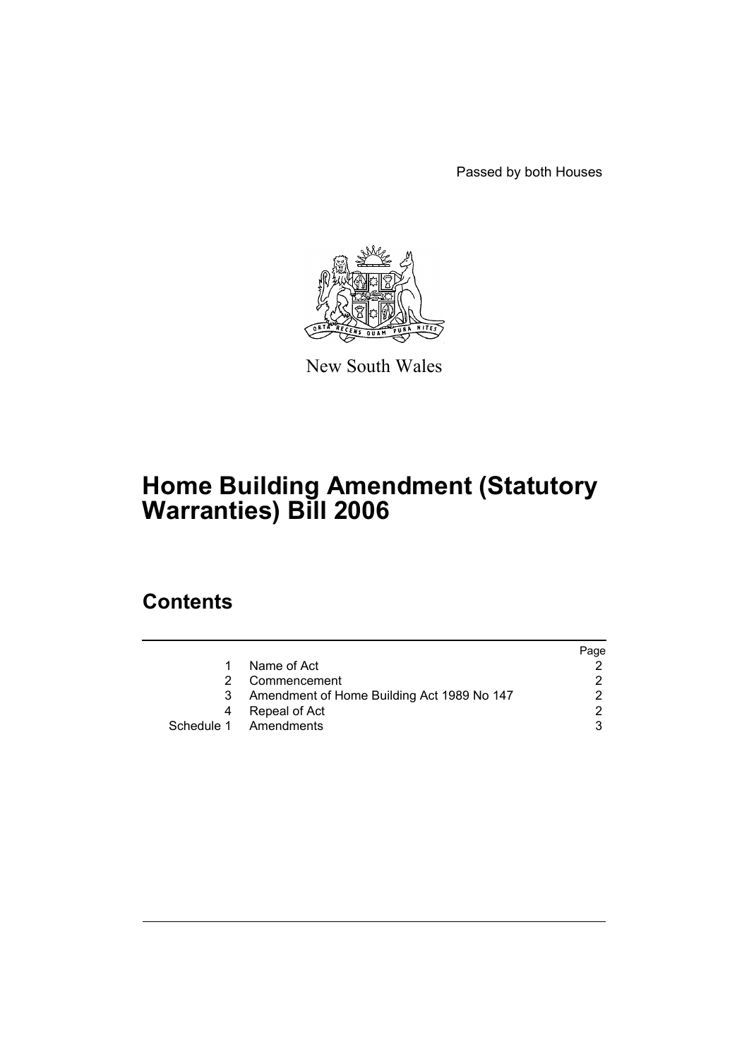Passed by both Houses



New South Wales

# **Home Building Amendment (Statutory Warranties) Bill 2006**

## **Contents**

|   |                                            | Page |
|---|--------------------------------------------|------|
|   | Name of Act                                |      |
|   | Commencement                               |      |
| 3 | Amendment of Home Building Act 1989 No 147 |      |
| 4 | Repeal of Act                              | າ    |
|   | Schedule 1 Amendments                      |      |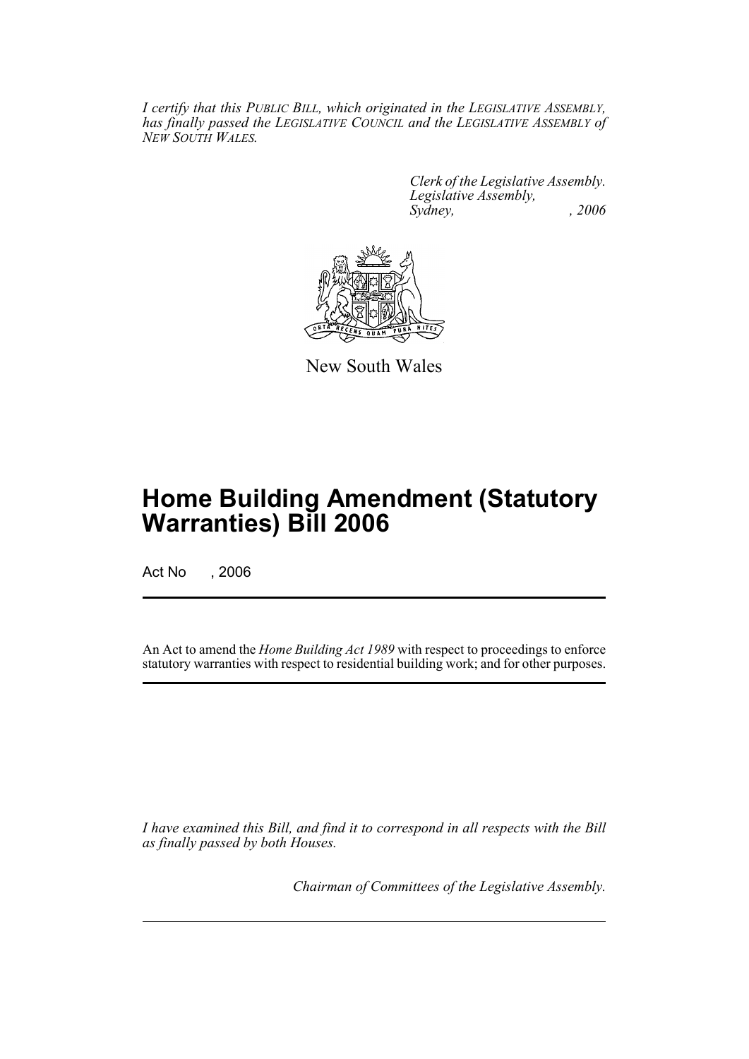*I certify that this PUBLIC BILL, which originated in the LEGISLATIVE ASSEMBLY, has finally passed the LEGISLATIVE COUNCIL and the LEGISLATIVE ASSEMBLY of NEW SOUTH WALES.*

> *Clerk of the Legislative Assembly. Legislative Assembly, Sydney, , 2006*



New South Wales

## **Home Building Amendment (Statutory Warranties) Bill 2006**

Act No , 2006

An Act to amend the *Home Building Act 1989* with respect to proceedings to enforce statutory warranties with respect to residential building work; and for other purposes.

*I have examined this Bill, and find it to correspond in all respects with the Bill as finally passed by both Houses.*

*Chairman of Committees of the Legislative Assembly.*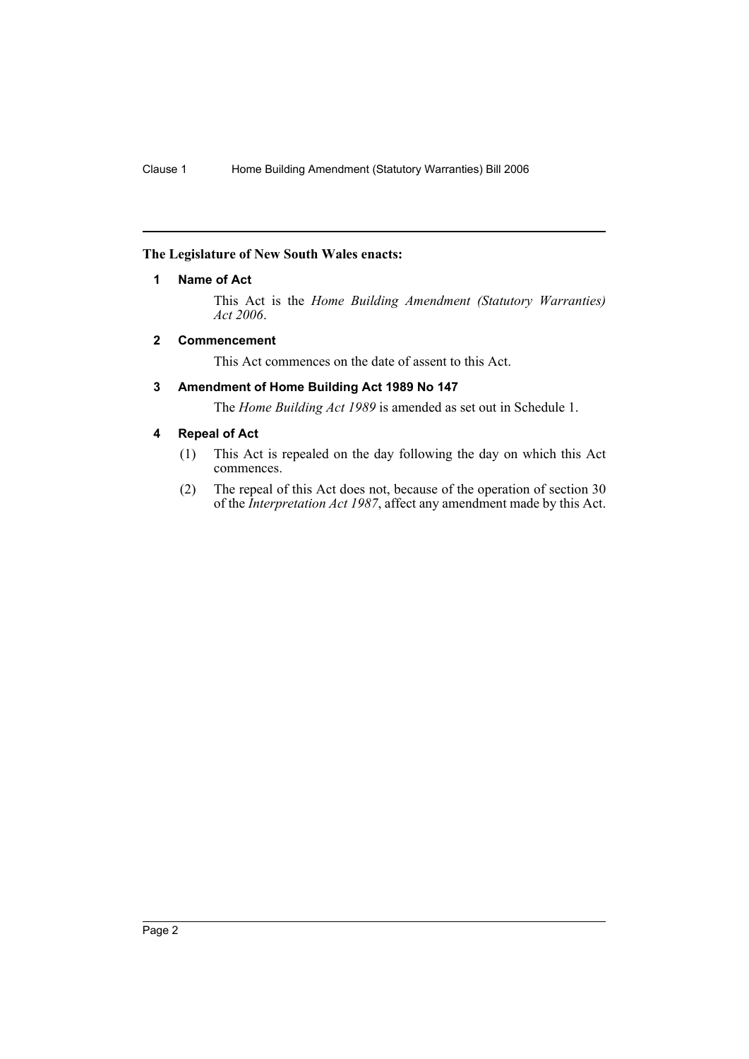### **The Legislature of New South Wales enacts:**

### **1 Name of Act**

This Act is the *Home Building Amendment (Statutory Warranties) Act 2006*.

### **2 Commencement**

This Act commences on the date of assent to this Act.

### **3 Amendment of Home Building Act 1989 No 147**

The *Home Building Act 1989* is amended as set out in Schedule 1.

### **4 Repeal of Act**

- (1) This Act is repealed on the day following the day on which this Act commences.
- (2) The repeal of this Act does not, because of the operation of section 30 of the *Interpretation Act 1987*, affect any amendment made by this Act.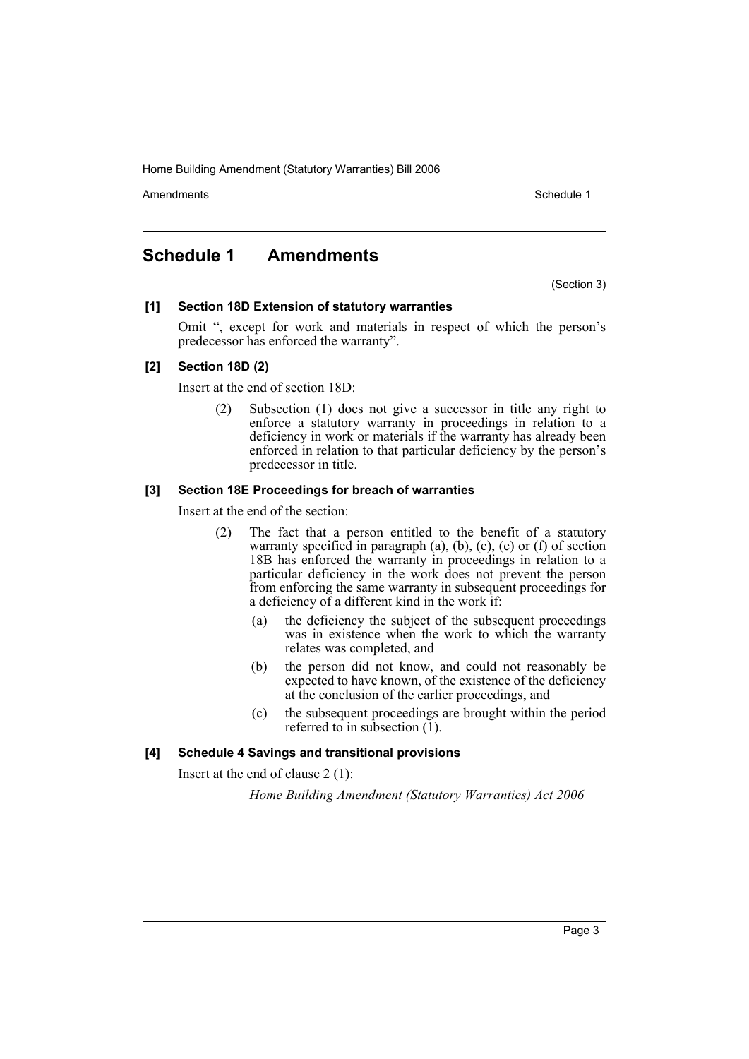Home Building Amendment (Statutory Warranties) Bill 2006

Amendments **Amendments** Schedule 1

### **Schedule 1 Amendments**

(Section 3)

### **[1] Section 18D Extension of statutory warranties**

Omit ", except for work and materials in respect of which the person's predecessor has enforced the warranty".

### **[2] Section 18D (2)**

Insert at the end of section 18D:

(2) Subsection (1) does not give a successor in title any right to enforce a statutory warranty in proceedings in relation to a deficiency in work or materials if the warranty has already been enforced in relation to that particular deficiency by the person's predecessor in title.

### **[3] Section 18E Proceedings for breach of warranties**

Insert at the end of the section:

- (2) The fact that a person entitled to the benefit of a statutory warranty specified in paragraph  $(a)$ ,  $(b)$ ,  $(c)$ ,  $(e)$  or  $(f)$  of section 18B has enforced the warranty in proceedings in relation to a particular deficiency in the work does not prevent the person from enforcing the same warranty in subsequent proceedings for a deficiency of a different kind in the work if:
	- (a) the deficiency the subject of the subsequent proceedings was in existence when the work to which the warranty relates was completed, and
	- (b) the person did not know, and could not reasonably be expected to have known, of the existence of the deficiency at the conclusion of the earlier proceedings, and
	- (c) the subsequent proceedings are brought within the period referred to in subsection  $(1)$ .

### **[4] Schedule 4 Savings and transitional provisions**

Insert at the end of clause 2 (1):

*Home Building Amendment (Statutory Warranties) Act 2006*